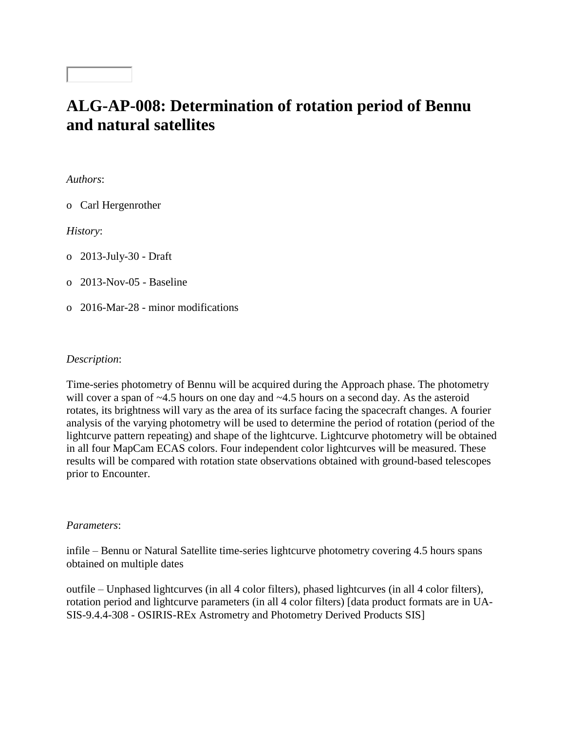# **ALG-AP-008: Determination of rotation period of Bennu and natural satellites**

*Authors*:

o Carl Hergenrother

*History*:

o 2013-July-30 - Draft

o 2013-Nov-05 - Baseline

o 2016-Mar-28 - minor modifications

## *Description*:

Time-series photometry of Bennu will be acquired during the Approach phase. The photometry will cover a span of ~4.5 hours on one day and ~4.5 hours on a second day. As the asteroid rotates, its brightness will vary as the area of its surface facing the spacecraft changes. A fourier analysis of the varying photometry will be used to determine the period of rotation (period of the lightcurve pattern repeating) and shape of the lightcurve. Lightcurve photometry will be obtained in all four MapCam ECAS colors. Four independent color lightcurves will be measured. These results will be compared with rotation state observations obtained with ground-based telescopes prior to Encounter.

### *Parameters*:

infile – Bennu or Natural Satellite time-series lightcurve photometry covering 4.5 hours spans obtained on multiple dates

outfile – Unphased lightcurves (in all 4 color filters), phased lightcurves (in all 4 color filters), rotation period and lightcurve parameters (in all 4 color filters) [data product formats are in UA-SIS-9.4.4-308 - OSIRIS-REx Astrometry and Photometry Derived Products SIS]